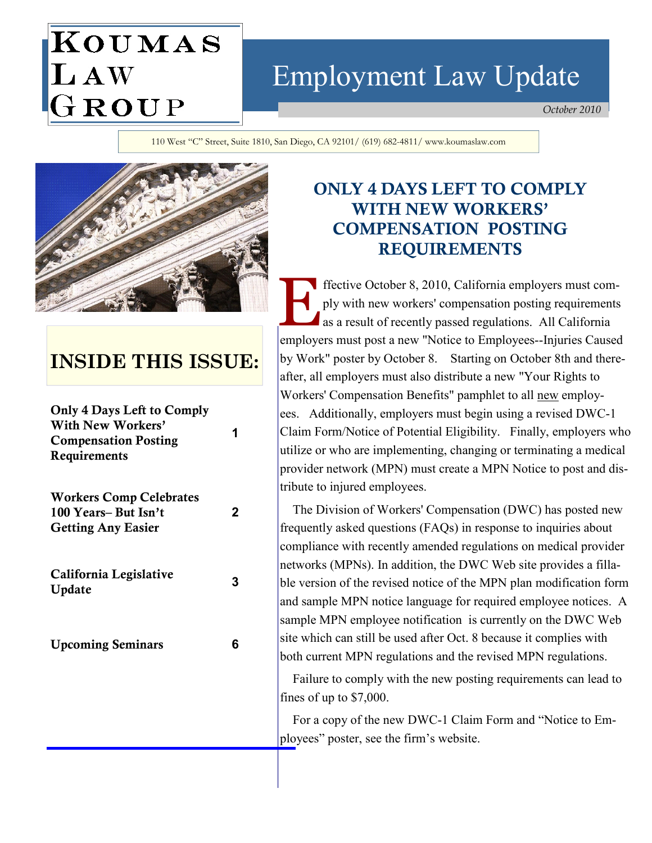# KOUMAS LAW<br>GROUP Employment Law Update

October 2010

110 West "C" Street, Suite 1810, San Diego, CA 92101/ (619) 682-4811/ www.koumaslaw.com



# INSIDE THIS ISSUE:

| <b>Only 4 Days Left to Comply</b><br>With New Workers'<br><b>Compensation Posting</b><br>Requirements | 1 |
|-------------------------------------------------------------------------------------------------------|---|
| <b>Workers Comp Celebrates</b><br>100 Years-But Isn't<br><b>Getting Any Easier</b>                    | 2 |
| California Legislative<br>Update                                                                      | 3 |
| <b>Upcoming Seminars</b>                                                                              | 6 |
|                                                                                                       |   |

# ONLY 4 DAYS LEFT TO COMPLY WITH NEW WORKERS' COMPENSATION POSTING REQUIREMENTS

ffective October 8, 2010, California employers must comply with new workers' compensation posting requirements as a result of recently passed regulations. All California employers must post a new "Notice to Employees--Injuries Caused by Work" poster by October 8. Starting on October 8th and thereafter, all employers must also distribute a new "Your Rights to Workers' Compensation Benefits" pamphlet to all new employees. Additionally, employers must begin using a revised DWC-1 Claim Form/Notice of Potential Eligibility. Finally, employers who utilize or who are implementing, changing or terminating a medical provider network (MPN) must create a MPN Notice to post and distribute to injured employees.

 The Division of Workers' Compensation (DWC) has posted new frequently asked questions (FAQs) in response to inquiries about compliance with recently amended regulations on medical provider networks (MPNs). In addition, the DWC Web site provides a fillable version of the revised notice of the MPN plan modification form and sample MPN notice language for required employee notices. A sample MPN employee notification is currently on the DWC Web site which can still be used after Oct. 8 because it complies with both current MPN regulations and the revised MPN regulations.

 Failure to comply with the new posting requirements can lead to fines of up to \$7,000.

 For a copy of the new DWC-1 Claim Form and "Notice to Employees" poster, see the firm's website.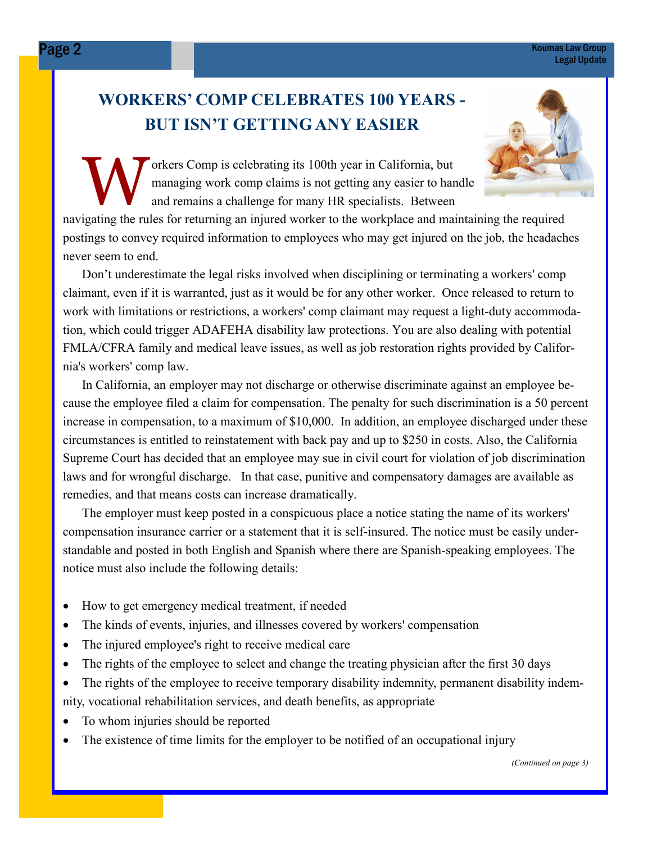#### Page 2 Koumas Law Group Legal Update

# WORKERS' COMP CELEBRATES 100 YEARS - BUT ISN'T GETTING ANY EASIER



orkers Comp is celebrating its 100th year in California, but<br>managing work comp claims is not getting any easier to har<br>and remains a challenge for many HR specialists. Between managing work comp claims is not getting any easier to handle and remains a challenge for many HR specialists. Between

navigating the rules for returning an injured worker to the workplace and maintaining the required postings to convey required information to employees who may get injured on the job, the headaches never seem to end.

Don't underestimate the legal risks involved when disciplining or terminating a workers' comp claimant, even if it is warranted, just as it would be for any other worker. Once released to return to work with limitations or restrictions, a workers' comp claimant may request a light-duty accommodation, which could trigger ADAFEHA disability law protections. You are also dealing with potential FMLA/CFRA family and medical leave issues, as well as job restoration rights provided by California's workers' comp law.

In California, an employer may not discharge or otherwise discriminate against an employee because the employee filed a claim for compensation. The penalty for such discrimination is a 50 percent increase in compensation, to a maximum of \$10,000. In addition, an employee discharged under these circumstances is entitled to reinstatement with back pay and up to \$250 in costs. Also, the California Supreme Court has decided that an employee may sue in civil court for violation of job discrimination laws and for wrongful discharge. In that case, punitive and compensatory damages are available as remedies, and that means costs can increase dramatically.

The employer must keep posted in a conspicuous place a notice stating the name of its workers' compensation insurance carrier or a statement that it is self-insured. The notice must be easily understandable and posted in both English and Spanish where there are Spanish-speaking employees. The notice must also include the following details:

- How to get emergency medical treatment, if needed
- The kinds of events, injuries, and illnesses covered by workers' compensation
- The injured employee's right to receive medical care
- The rights of the employee to select and change the treating physician after the first 30 days
- The rights of the employee to receive temporary disability indemnity, permanent disability indemnity, vocational rehabilitation services, and death benefits, as appropriate
- To whom injuries should be reported
- The existence of time limits for the employer to be notified of an occupational injury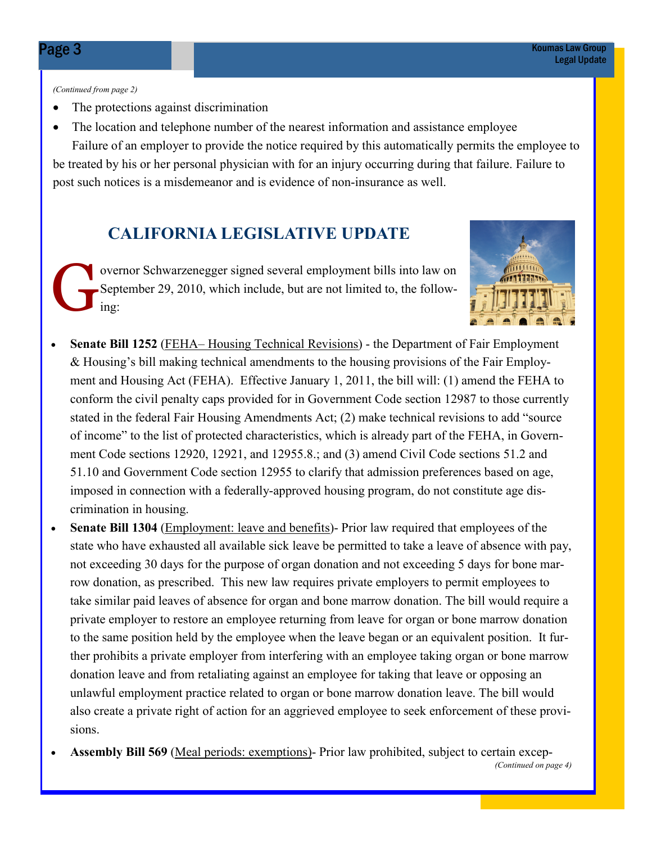(Continued from page 2)

- The protections against discrimination
- The location and telephone number of the nearest information and assistance employee

 Failure of an employer to provide the notice required by this automatically permits the employee to be treated by his or her personal physician with for an injury occurring during that failure. Failure to post such notices is a misdemeanor and is evidence of non-insurance as well.

# CALIFORNIA LEGISLATIVE UPDATE

overnor Schwarzenegger signed several employment bills into law on<br>September 29, 2010, which include, but are not limited to, the follow-<br>ing: September 29, 2010, which include, but are not limited to, the following:



- Senate Bill 1252 (FEHA– Housing Technical Revisions) the Department of Fair Employment & Housing's bill making technical amendments to the housing provisions of the Fair Employment and Housing Act (FEHA). Effective January 1, 2011, the bill will: (1) amend the FEHA to conform the civil penalty caps provided for in Government Code section 12987 to those currently stated in the federal Fair Housing Amendments Act; (2) make technical revisions to add "source of income" to the list of protected characteristics, which is already part of the FEHA, in Government Code sections 12920, 12921, and 12955.8.; and (3) amend Civil Code sections 51.2 and 51.10 and Government Code section 12955 to clarify that admission preferences based on age, imposed in connection with a federally-approved housing program, do not constitute age discrimination in housing.
- Senate Bill 1304 (Employment: leave and benefits)- Prior law required that employees of the state who have exhausted all available sick leave be permitted to take a leave of absence with pay, not exceeding 30 days for the purpose of organ donation and not exceeding 5 days for bone marrow donation, as prescribed. This new law requires private employers to permit employees to take similar paid leaves of absence for organ and bone marrow donation. The bill would require a private employer to restore an employee returning from leave for organ or bone marrow donation to the same position held by the employee when the leave began or an equivalent position. It further prohibits a private employer from interfering with an employee taking organ or bone marrow donation leave and from retaliating against an employee for taking that leave or opposing an unlawful employment practice related to organ or bone marrow donation leave. The bill would also create a private right of action for an aggrieved employee to seek enforcement of these provisions.
- Assembly Bill 569 (Meal periods: exemptions)- Prior law prohibited, subject to certain excep-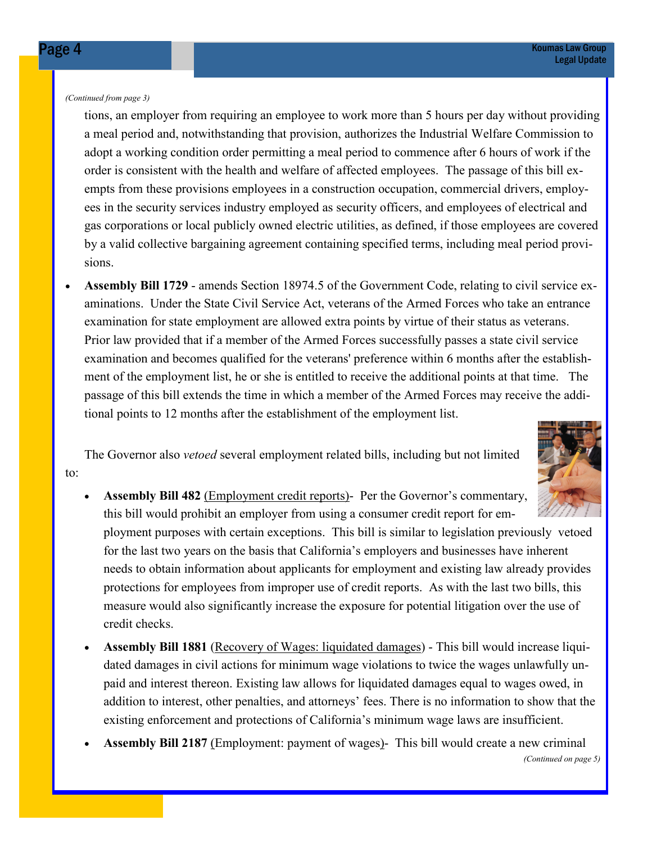(Continued from page 3)

tions, an employer from requiring an employee to work more than 5 hours per day without providing a meal period and, notwithstanding that provision, authorizes the Industrial Welfare Commission to adopt a working condition order permitting a meal period to commence after 6 hours of work if the order is consistent with the health and welfare of affected employees. The passage of this bill exempts from these provisions employees in a construction occupation, commercial drivers, employees in the security services industry employed as security officers, and employees of electrical and gas corporations or local publicly owned electric utilities, as defined, if those employees are covered by a valid collective bargaining agreement containing specified terms, including meal period provisions.

• Assembly Bill 1729 - amends Section 18974.5 of the Government Code, relating to civil service examinations. Under the State Civil Service Act, veterans of the Armed Forces who take an entrance examination for state employment are allowed extra points by virtue of their status as veterans. Prior law provided that if a member of the Armed Forces successfully passes a state civil service examination and becomes qualified for the veterans' preference within 6 months after the establishment of the employment list, he or she is entitled to receive the additional points at that time. The passage of this bill extends the time in which a member of the Armed Forces may receive the additional points to 12 months after the establishment of the employment list.

 The Governor also vetoed several employment related bills, including but not limited to:



Assembly Bill 482 (Employment credit reports)- Per the Governor's commentary, this bill would prohibit an employer from using a consumer credit report for em-

ployment purposes with certain exceptions. This bill is similar to legislation previously vetoed for the last two years on the basis that California's employers and businesses have inherent needs to obtain information about applicants for employment and existing law already provides protections for employees from improper use of credit reports. As with the last two bills, this measure would also significantly increase the exposure for potential litigation over the use of credit checks.

- Assembly Bill 1881 (Recovery of Wages: liquidated damages) This bill would increase liquidated damages in civil actions for minimum wage violations to twice the wages unlawfully unpaid and interest thereon. Existing law allows for liquidated damages equal to wages owed, in addition to interest, other penalties, and attorneys' fees. There is no information to show that the existing enforcement and protections of California's minimum wage laws are insufficient.
- Assembly Bill 2187 (Employment: payment of wages)- This bill would create a new criminal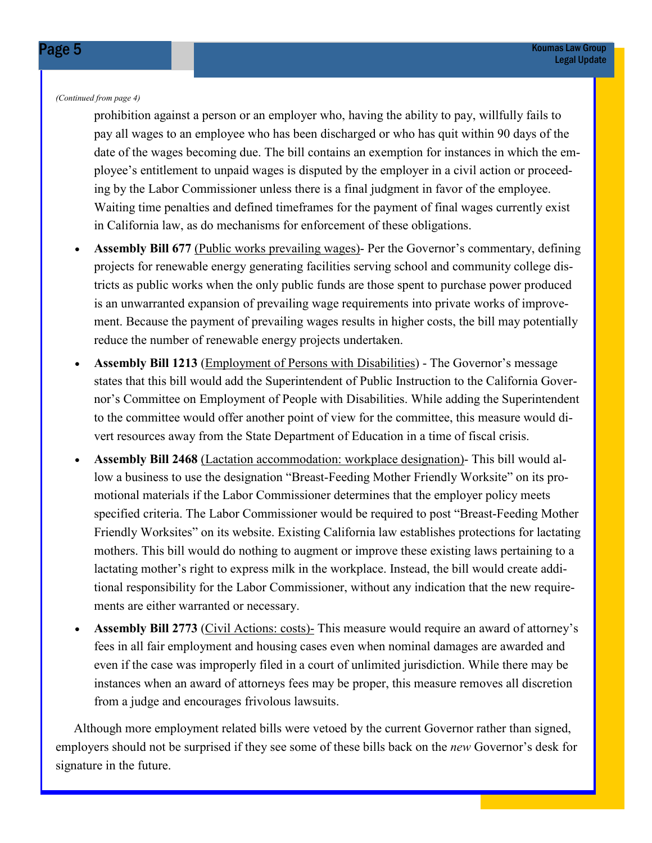(Continued from page 4)

prohibition against a person or an employer who, having the ability to pay, willfully fails to pay all wages to an employee who has been discharged or who has quit within 90 days of the date of the wages becoming due. The bill contains an exemption for instances in which the employee's entitlement to unpaid wages is disputed by the employer in a civil action or proceeding by the Labor Commissioner unless there is a final judgment in favor of the employee. Waiting time penalties and defined timeframes for the payment of final wages currently exist in California law, as do mechanisms for enforcement of these obligations.

- Assembly Bill 677 (Public works prevailing wages)- Per the Governor's commentary, defining projects for renewable energy generating facilities serving school and community college districts as public works when the only public funds are those spent to purchase power produced is an unwarranted expansion of prevailing wage requirements into private works of improvement. Because the payment of prevailing wages results in higher costs, the bill may potentially reduce the number of renewable energy projects undertaken.
- Assembly Bill 1213 (Employment of Persons with Disabilities) The Governor's message states that this bill would add the Superintendent of Public Instruction to the California Governor's Committee on Employment of People with Disabilities. While adding the Superintendent to the committee would offer another point of view for the committee, this measure would divert resources away from the State Department of Education in a time of fiscal crisis.
- Assembly Bill 2468 (Lactation accommodation: workplace designation)- This bill would allow a business to use the designation "Breast-Feeding Mother Friendly Worksite" on its promotional materials if the Labor Commissioner determines that the employer policy meets specified criteria. The Labor Commissioner would be required to post "Breast-Feeding Mother Friendly Worksites" on its website. Existing California law establishes protections for lactating mothers. This bill would do nothing to augment or improve these existing laws pertaining to a lactating mother's right to express milk in the workplace. Instead, the bill would create additional responsibility for the Labor Commissioner, without any indication that the new requirements are either warranted or necessary.
- Assembly Bill 2773 (Civil Actions: costs)- This measure would require an award of attorney's fees in all fair employment and housing cases even when nominal damages are awarded and even if the case was improperly filed in a court of unlimited jurisdiction. While there may be instances when an award of attorneys fees may be proper, this measure removes all discretion from a judge and encourages frivolous lawsuits.

 Although more employment related bills were vetoed by the current Governor rather than signed, employers should not be surprised if they see some of these bills back on the *new* Governor's desk for signature in the future.